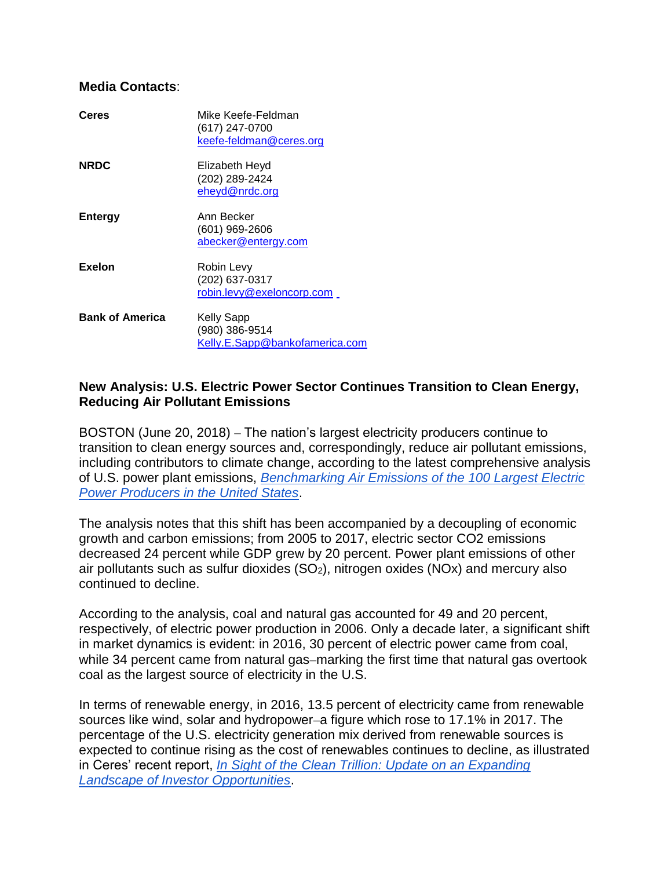#### **Media Contacts**:

| <b>Ceres</b>           | Mike Keefe-Feldman<br>(617) 247-0700<br>keefe-feldman@ceres.org       |
|------------------------|-----------------------------------------------------------------------|
| <b>NRDC</b>            | Elizabeth Heyd<br>(202) 289-2424<br>eheyd@nrdc.org                    |
| Entergy                | Ann Becker<br>$(601)$ 969-2606<br>abecker@entergy.com                 |
| <b>Exelon</b>          | Robin Levy<br>(202) 637-0317<br>robin.levy@exeloncorp.com             |
| <b>Bank of America</b> | <b>Kelly Sapp</b><br>(980) 386-9514<br>Kelly.E.Sapp@bankofamerica.com |

### **New Analysis: U.S. Electric Power Sector Continues Transition to Clean Energy, Reducing Air Pollutant Emissions**

BOSTON (June 20, 2018) – The nation's largest electricity producers continue to transition to clean energy sources and, correspondingly, reduce air pollutant emissions, including contributors to climate change, according to the latest comprehensive analysis of U.S. power plant emissions, *[Benchmarking Air Emissions of the 100 Largest Electric](https://www.ceres.org/AirBenchmarking2018)  [Power Producers in the United States](https://www.ceres.org/AirBenchmarking2018)*.

The analysis notes that this shift has been accompanied by a decoupling of economic growth and carbon emissions; from 2005 to 2017, electric sector CO2 emissions decreased 24 percent while GDP grew by 20 percent. Power plant emissions of other air pollutants such as sulfur dioxides  $(SO_2)$ , nitrogen oxides  $(NOx)$  and mercury also continued to decline.

According to the analysis, coal and natural gas accounted for 49 and 20 percent, respectively, of electric power production in 2006. Only a decade later, a significant shift in market dynamics is evident: in 2016, 30 percent of electric power came from coal, while 34 percent came from natural gas–marking the first time that natural gas overtook coal as the largest source of electricity in the U.S.

In terms of renewable energy, in 2016, 13.5 percent of electricity came from renewable sources like wind, solar and hydropower–a figure which rose to 17.1% in 2017. The percentage of the U.S. electricity generation mix derived from renewable sources is expected to continue rising as the cost of renewables continues to decline, as illustrated in Ceres' recent report, *[In Sight of the Clean Trillion: Update on an Expanding](https://www.ceres.org/CleanTrillionInSight)  [Landscape of Investor Opportunities](https://www.ceres.org/CleanTrillionInSight)*.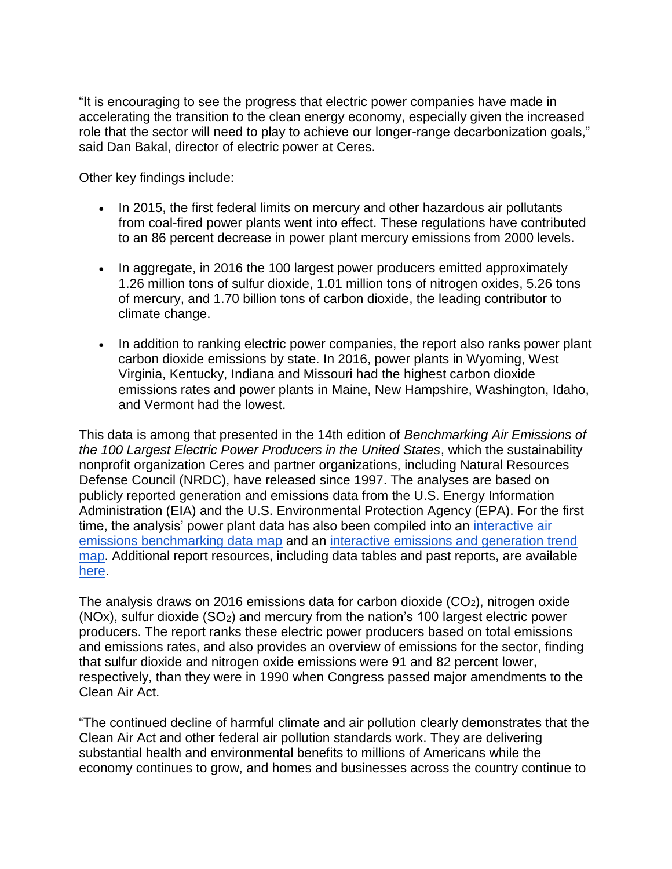"It is encouraging to see the progress that electric power companies have made in accelerating the transition to the clean energy economy, especially given the increased role that the sector will need to play to achieve our longer-range decarbonization goals," said Dan Bakal, director of electric power at Ceres.

Other key findings include:

- In 2015, the first federal limits on mercury and other hazardous air pollutants from coal-fired power plants went into effect. These regulations have contributed to an 86 percent decrease in power plant mercury emissions from 2000 levels.
- In aggregate, in 2016 the 100 largest power producers emitted approximately 1.26 million tons of sulfur dioxide, 1.01 million tons of nitrogen oxides, 5.26 tons of mercury, and 1.70 billion tons of carbon dioxide, the leading contributor to climate change.
- In addition to ranking electric power companies, the report also ranks power plant carbon dioxide emissions by state. In 2016, power plants in Wyoming, West Virginia, Kentucky, Indiana and Missouri had the highest carbon dioxide emissions rates and power plants in Maine, New Hampshire, Washington, Idaho, and Vermont had the lowest.

This data is among that presented in the 14th edition of *Benchmarking Air Emissions of the 100 Largest Electric Power Producers in the United States*, which the sustainability nonprofit organization Ceres and partner organizations, including Natural Resources Defense Council (NRDC), have released since 1997. The analyses are based on publicly reported generation and emissions data from the U.S. Energy Information Administration (EIA) and the U.S. Environmental Protection Agency (EPA). For the first time, the analysis' power plant data has also been compiled into an [interactive air](https://mjb-a.maps.arcgis.com/apps/webappviewer/index.html?id=e8d904b9b2af4b9fb7338c68888e213e)  [emissions benchmarking data map](https://mjb-a.maps.arcgis.com/apps/webappviewer/index.html?id=e8d904b9b2af4b9fb7338c68888e213e) and an [interactive emissions and generation trend](https://mjb-a.maps.arcgis.com/apps/webappviewer/index.html?id=4b3d54cda8aa4bc4ad757f5484bf064b)  [map.](https://mjb-a.maps.arcgis.com/apps/webappviewer/index.html?id=4b3d54cda8aa4bc4ad757f5484bf064b) Additional report resources, including data tables and past reports, are available [here.](https://mjbradley.com/benchmarking-air-emissions)

The analysis draws on 2016 emissions data for carbon dioxide  $(CO<sub>2</sub>)$ , nitrogen oxide  $(NOx)$ , sulfur dioxide  $(SO_2)$  and mercury from the nation's 100 largest electric power producers. The report ranks these electric power producers based on total emissions and emissions rates, and also provides an overview of emissions for the sector, finding that sulfur dioxide and nitrogen oxide emissions were 91 and 82 percent lower, respectively, than they were in 1990 when Congress passed major amendments to the Clean Air Act.

"The continued decline of harmful climate and air pollution clearly demonstrates that the Clean Air Act and other federal air pollution standards work. They are delivering substantial health and environmental benefits to millions of Americans while the economy continues to grow, and homes and businesses across the country continue to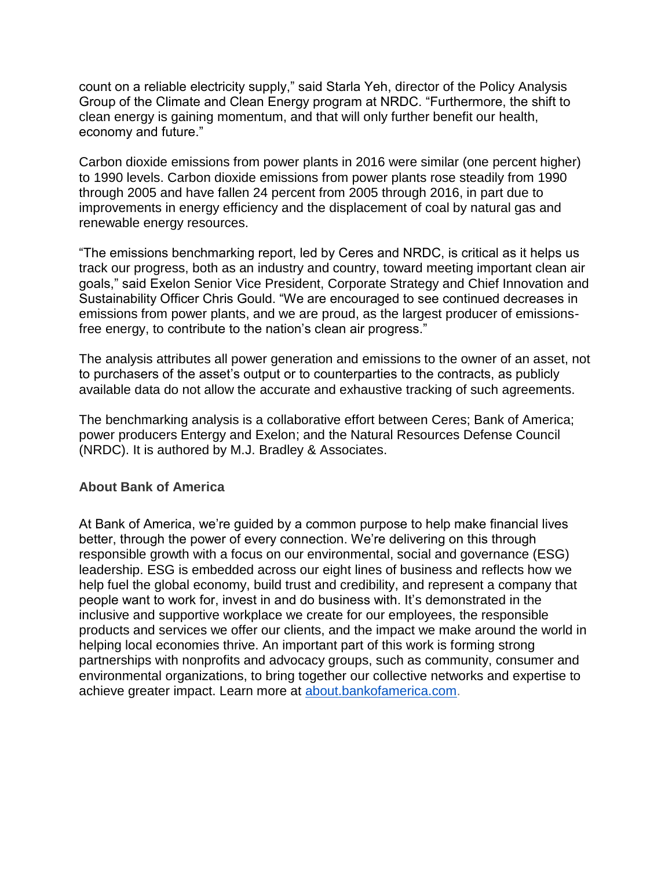count on a reliable electricity supply," said Starla Yeh, director of the Policy Analysis Group of the Climate and Clean Energy program at NRDC. "Furthermore, the shift to clean energy is gaining momentum, and that will only further benefit our health, economy and future."

Carbon dioxide emissions from power plants in 2016 were similar (one percent higher) to 1990 levels. Carbon dioxide emissions from power plants rose steadily from 1990 through 2005 and have fallen 24 percent from 2005 through 2016, in part due to improvements in energy efficiency and the displacement of coal by natural gas and renewable energy resources.

"The emissions benchmarking report, led by Ceres and NRDC, is critical as it helps us track our progress, both as an industry and country, toward meeting important clean air goals," said Exelon Senior Vice President, Corporate Strategy and Chief Innovation and Sustainability Officer Chris Gould. "We are encouraged to see continued decreases in emissions from power plants, and we are proud, as the largest producer of emissionsfree energy, to contribute to the nation's clean air progress."

The analysis attributes all power generation and emissions to the owner of an asset, not to purchasers of the asset's output or to counterparties to the contracts, as publicly available data do not allow the accurate and exhaustive tracking of such agreements.

The benchmarking analysis is a collaborative effort between Ceres; Bank of America; power producers Entergy and Exelon; and the Natural Resources Defense Council (NRDC). It is authored by M.J. Bradley & Associates.

### **About Bank of America**

At Bank of America, we're guided by a common purpose to help make financial lives better, through the power of every connection. We're delivering on this through responsible growth with a focus on our environmental, social and governance (ESG) leadership. ESG is embedded across our eight lines of business and reflects how we help fuel the global economy, build trust and credibility, and represent a company that people want to work for, invest in and do business with. It's demonstrated in the inclusive and supportive workplace we create for our employees, the responsible products and services we offer our clients, and the impact we make around the world in helping local economies thrive. An important part of this work is forming strong partnerships with nonprofits and advocacy groups, such as community, consumer and environmental organizations, to bring together our collective networks and expertise to achieve greater impact. Learn more at [about.bankofamerica.com.](http://about.bankofamerica.com/)